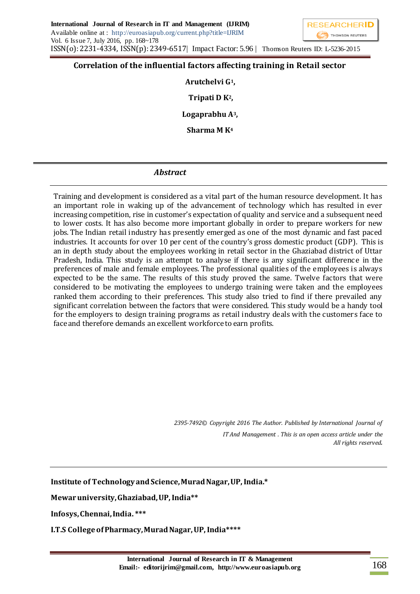

## **Correlation of the influential factors affecting training in Retail sector**

**Arutchelvi G1, Tripati D K2,** 

**Logaprabhu A3,** 

**Sharma M K<sup>4</sup>**

# *Abstract*

Training and development is considered as a vital part of the human resource development. It has an important role in waking up of the advancement of technology which has resulted in ever increasing competition, rise in customer's expectation of quality and service and a subsequent need to lower costs. It has also become more important globally in order to prepare workers for new jobs. The Indian retail industry has presently emerged as one of the most dynamic and fast paced industries. It accounts for over 10 per cent of the country's gross domestic product (GDP). This is an in depth study about the employees working in retail sector in the Ghaziabad district of Uttar Pradesh, India. This study is an attempt to analyse if there is any significant difference in the preferences of male and female employees. The professional qualities of the employees is always expected to be the same. The results of this study proved the same. Twelve factors that were considered to be motivating the employees to undergo training were taken and the employees ranked them according to their preferences. This study also tried to find if there prevailed any significant correlation between the factors that were considered. This study would be a handy tool for the employers to design training programs as retail industry deals with the customers face to face and therefore demands an excellent workforce to earn profits.

> *2395-7492© Copyright 2016 The Author. Published by International Journal of IT And Management . This is an open access article under the All rights reserved.*

**Institute of Technology and Science, Murad Nagar, UP, India.\***

**Mewar university, Ghaziabad, UP, India\*\***

**Infosys, Chennai, India. \*\*\***

**I.T.S College of Pharmacy, Murad Nagar, UP, India\*\*\*\***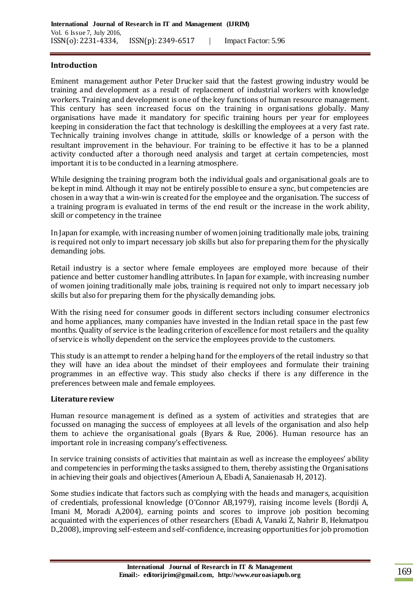#### **Introduction**

Eminent management author Peter Drucker said that the fastest growing industry would be training and development as a result of replacement of industrial workers with knowledge workers. Training and development is one of the key functions of human resource management. This century has seen increased focus on the training in organisations globally. Many organisations have made it mandatory for specific training hours per year for employees keeping in consideration the fact that technology is deskilling the employees at a very fast rate. Technically training involves change in attitude, skills or knowledge of a person with the resultant improvement in the behaviour. For training to be effective it has to be a planned activity conducted after a thorough need analysis and target at certain competencies, most important it is to be conducted in a learning atmosphere.

While designing the training program both the individual goals and organisational goals are to be kept in mind. Although it may not be entirely possible to ensure a sync, but competencies are chosen in a way that a win-win is created for the employee and the organisation. The success of a training program is evaluated in terms of the end result or the increase in the work ability, skill or competency in the trainee

In Japan for example, with increasing number of women joining traditionally male jobs, training is required not only to impart necessary job skills but also for preparing them for the physically demanding jobs.

Retail industry is a sector where female employees are employed more because of their patience and better customer handling attributes. In Japan for example, with increasing number of women joining traditionally male jobs, training is required not only to impart necessary job skills but also for preparing them for the physically demanding jobs.

With the rising need for consumer goods in different sectors including consumer electronics and home appliances, many companies have invested in the Indian retail space in the past few months. Quality of service is the leading criterion of excellence for most retailers and the quality of service is wholly dependent on the service the employees provide to the customers.

This study is an attempt to render a helping hand for the employers of the retail industry so that they will have an idea about the mindset of their employees and formulate their training programmes in an effective way. This study also checks if there is any difference in the preferences between male and female employees.

#### **Literature review**

Human resource management is defined as a system of activities and strategies that are focussed on managing the success of employees at all levels of the organisation and also help them to achieve the organisational goals (Byars & Rue, 2006). Human resource has an important role in increasing company's effectiveness.

In service training consists of activities that maintain as well as increase the employees' ability and competencies in performing the tasks assigned to them, thereby assisting the Organisations in achieving their goals and objectives (Amerioun A, Ebadi A, Sanaienasab H, 2012).

Some studies indicate that factors such as complying with the heads and managers, acquisition of credentials, professional knowledge (O'Connor AB,1979), raising income levels (Bordji A, Imani M, Moradi A,2004), earning points and scores to improve job position becoming acquainted with the experiences of other researchers (Ebadi A, Vanaki Z, Nahrir B, Hekmatpou D.,2008), improving self-esteem and self-confidence, increasing opportunities for job promotion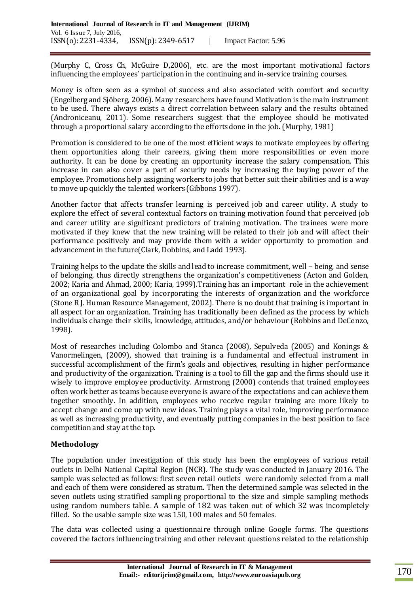(Murphy C, Cross Ch, McGuire D,2006), etc. are the most important motivational factors influencing the employees' participation in the continuing and in-service training courses.

Money is often seen as a symbol of success and also associated with comfort and security (Engelberg and Sjöberg, 2006). Many researchers have found Motivation is the main instrument to be used. There always exists a direct correlation between salary and the results obtained (Androniceanu, 2011). Some researchers suggest that the employee should be motivated through a proportional salary according to the efforts done in the job. (Murphy, 1981)

Promotion is considered to be one of the most efficient ways to motivate employees by offering them opportunities along their careers, giving them more responsibilities or even more authority. It can be done by creating an opportunity increase the salary compensation. This increase in can also cover a part of security needs by increasing the buying power of the employee. Promotions help assigning workers to jobs that better suit their abilities and is a way to move up quickly the talented workers (Gibbons 1997).

Another factor that affects transfer learning is perceived job and career utility. A study to explore the effect of several contextual factors on training motivation found that perceived job and career utility are significant predictors of training motivation. The trainees were more motivated if they knew that the new training will be related to their job and will affect their performance positively and may provide them with a wider opportunity to promotion and advancement in the future(Clark, Dobbins, and Ladd 1993).

Training helps to the update the skills and lead to increase commitment, well – being, and sense of belonging, thus directly strengthens the organization's competitiveness (Acton and Golden, 2002; Karia and Ahmad, 2000; Karia, 1999).Training has an important role in the achievement of an organizational goal by incorporating the interests of organization and the workforce (Stone R J. Human Resource Management, 2002). There is no doubt that training is important in all aspect for an organization. Training has traditionally been defined as the process by which individuals change their skills, knowledge, attitudes, and/or behaviour (Robbins and DeCenzo, 1998).

Most of researches including Colombo and Stanca (2008), Sepulveda (2005) and Konings & Vanormelingen, (2009), showed that training is a fundamental and effectual instrument in successful accomplishment of the firm's goals and objectives, resulting in higher performance and productivity of the organization. Training is a tool to fill the gap and the firms should use it wisely to improve employee productivity. Armstrong (2000) contends that trained employees often work better as teams because everyone is aware of the expectations and can achieve them together smoothly. In addition, employees who receive regular training are more likely to accept change and come up with new ideas. Training plays a vital role, improving performance as well as increasing productivity, and eventually putting companies in the best position to face competition and stay at the top.

## **Methodology**

The population under investigation of this study has been the employees of various retail outlets in Delhi National Capital Region (NCR). The study was conducted in January 2016. The sample was selected as follows: first seven retail outlets were randomly selected from a mall and each of them were considered as stratum. Then the determined sample was selected in the seven outlets using stratified sampling proportional to the size and simple sampling methods using random numbers table. A sample of 182 was taken out of which 32 was incompletely filled. So the usable sample size was 150, 100 males and 50 females.

The data was collected using a questionnaire through online Google forms. The questions covered the factors influencing training and other relevant questions related to the relationship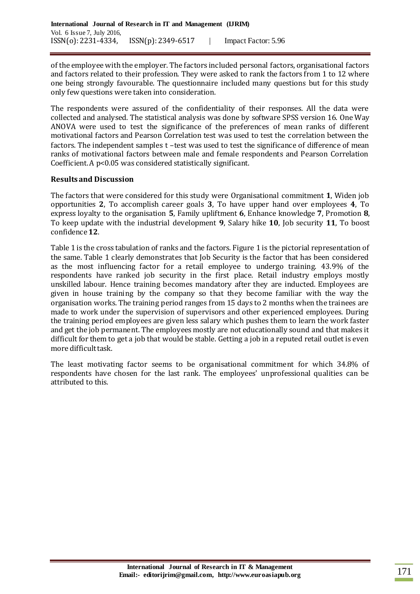of the employee with the employer. The factors included personal factors, organisational factors and factors related to their profession. They were asked to rank the factors from 1 to 12 where one being strongly favourable. The questionnaire included many questions but for this study only few questions were taken into consideration.

The respondents were assured of the confidentiality of their responses. All the data were collected and analysed. The statistical analysis was done by software SPSS version 16. One Way ANOVA were used to test the significance of the preferences of mean ranks of different motivational factors and Pearson Correlation test was used to test the correlation between the factors. The independent samples t –test was used to test the significance of difference of mean ranks of motivational factors between male and female respondents and Pearson Correlation Coefficient. A p<0.05 was considered statistically significant.

## **Results and Discussion**

The factors that were considered for this study were Organisational commitment **1**, Widen job opportunities **2**, To accomplish career goals **3**, To have upper hand over employees **4**, To express loyalty to the organisation **5**, Family upliftment **6**, Enhance knowledge **7**, Promotion **8**, To keep update with the industrial development **9**, Salary hike **10**, Job security **11**, To boost confidence**12**.

Table 1 is the cross tabulation of ranks and the factors. Figure 1 is the pictorial representation of the same. Table 1 clearly demonstrates that Job Security is the factor that has been considered as the most influencing factor for a retail employee to undergo training. 43.9% of the respondents have ranked job security in the first place. Retail industry employs mostly unskilled labour. Hence training becomes mandatory after they are inducted. Employees are given in house training by the company so that they become familiar with the way the organisation works. The training period ranges from 15 days to 2 months when the trainees are made to work under the supervision of supervisors and other experienced employees. During the training period employees are given less salary which pushes them to learn the work faster and get the job permanent. The employees mostly are not educationally sound and that makes it difficult for them to get a job that would be stable. Getting a job in a reputed retail outlet is even more difficult task.

The least motivating factor seems to be organisational commitment for which 34.8% of respondents have chosen for the last rank. The employees' unprofessional qualities can be attributed to this.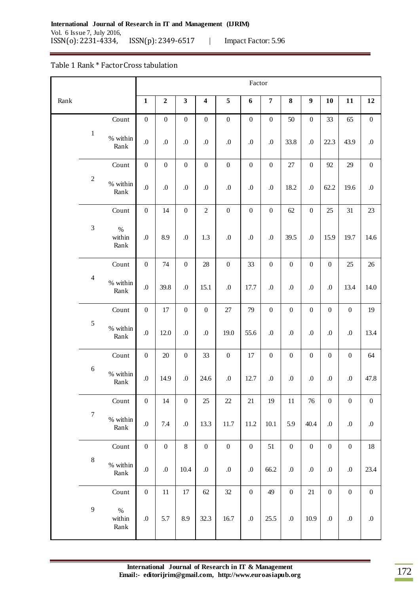#### Table 1 Rank \* Factor Cross tabulation

|      |                  |                        | Factor           |                  |                  |                         |                  |                  |                  |                  |                  |                                                                                                                                                                                                                                          |                  |                  |
|------|------------------|------------------------|------------------|------------------|------------------|-------------------------|------------------|------------------|------------------|------------------|------------------|------------------------------------------------------------------------------------------------------------------------------------------------------------------------------------------------------------------------------------------|------------------|------------------|
| Rank |                  |                        | $\mathbf{1}$     | $\mathbf 2$      | $\mathbf{3}$     | $\overline{\mathbf{4}}$ | $\sqrt{5}$       | 6                | $\boldsymbol{7}$ | ${\bf 8}$        | $\boldsymbol{9}$ | 10                                                                                                                                                                                                                                       | 11               | 12               |
|      |                  | Count                  | $\boldsymbol{0}$ | $\boldsymbol{0}$ | $\boldsymbol{0}$ | $\boldsymbol{0}$        | $\boldsymbol{0}$ | $\boldsymbol{0}$ | $\boldsymbol{0}$ | 50               | $\boldsymbol{0}$ | 33                                                                                                                                                                                                                                       | 65               | $\boldsymbol{0}$ |
|      | $\,1\,$          | % within<br>Rank       | 0.               | $.0\,$           | $.0\,$           | $\cdot$                 | $\boldsymbol{0}$ | $\boldsymbol{0}$ | $\boldsymbol{0}$ | 33.8             | $\boldsymbol{0}$ | 22.3                                                                                                                                                                                                                                     | 43.9             | $.0\,$           |
|      |                  | Count                  | $\boldsymbol{0}$ | $\boldsymbol{0}$ | $\boldsymbol{0}$ | $\boldsymbol{0}$        | $\boldsymbol{0}$ | $\boldsymbol{0}$ | $\boldsymbol{0}$ | $27\,$           | $\boldsymbol{0}$ | 92                                                                                                                                                                                                                                       | 29               | $\boldsymbol{0}$ |
|      | $\sqrt{2}$       | % within<br>Rank       | $\boldsymbol{0}$ | $.0\,$           | $.0\,$           | 0.                      | $\boldsymbol{0}$ | .0               | $.0\,$           | 18.2             | $\boldsymbol{0}$ | 62.2                                                                                                                                                                                                                                     | 19.6             | $.0\,$           |
|      |                  | Count                  | $\boldsymbol{0}$ | 14               | $\boldsymbol{0}$ | $\sqrt{2}$              | $\boldsymbol{0}$ | $\boldsymbol{0}$ | $\boldsymbol{0}$ | 62               | $\boldsymbol{0}$ | 25                                                                                                                                                                                                                                       | 31               | 23               |
|      | $\sqrt{3}$       | $\%$<br>within<br>Rank | $\boldsymbol{0}$ | 8.9              | $.0\,$           | 1.3                     | $\boldsymbol{0}$ | .0               | $\boldsymbol{0}$ | 39.5             | $\boldsymbol{0}$ | 15.9                                                                                                                                                                                                                                     | 19.7             | 14.6             |
|      |                  | $\mbox{Count}$         | $\boldsymbol{0}$ | 74               | $\boldsymbol{0}$ | $28\,$                  | $\boldsymbol{0}$ | 33               | $\boldsymbol{0}$ | $\boldsymbol{0}$ | $\boldsymbol{0}$ | $\mathbf{0}$                                                                                                                                                                                                                             | 25               | $26\,$           |
|      | $\overline{4}$   | % within<br>Rank       | $\boldsymbol{0}$ | 39.8             | $.0\,$           | 15.1                    | $\boldsymbol{0}$ | 17.7             | $\boldsymbol{0}$ | $.0\,$           | $\boldsymbol{0}$ | $.0\,$                                                                                                                                                                                                                                   | 13.4             | 14.0             |
|      |                  | Count                  | $\boldsymbol{0}$ | $17\,$           | $\boldsymbol{0}$ | $\boldsymbol{0}$        | 27               | 79               | $\boldsymbol{0}$ | $\boldsymbol{0}$ | $\boldsymbol{0}$ | $\boldsymbol{0}$                                                                                                                                                                                                                         | $\boldsymbol{0}$ | 19               |
|      | 5                | % within<br>Rank       | $\overline{0}$ . | 12.0             | $.0\,$           | $\boldsymbol{0}$        | 19.0             | 55.6             | $\boldsymbol{0}$ | 0.               | .0               | $.0\,$                                                                                                                                                                                                                                   | $.0\,$           | 13.4             |
|      |                  | Count                  | $\boldsymbol{0}$ | $20\,$           | $\boldsymbol{0}$ | 33                      | $\boldsymbol{0}$ | $17\,$           | $\boldsymbol{0}$ | $\boldsymbol{0}$ | $\boldsymbol{0}$ | $\boldsymbol{0}$                                                                                                                                                                                                                         | $\boldsymbol{0}$ | 64               |
|      | $\sqrt{6}$       | % within<br>Rank       | $\boldsymbol{0}$ | 14.9             | $.0\,$           | 24.6                    | $\boldsymbol{0}$ | 12.7             | 0.               | $.0\,$           | $\boldsymbol{0}$ | $.0\,$<br>$.0\,$<br>$\boldsymbol{0}$<br>$\boldsymbol{0}$<br>$\boldsymbol{0}$<br>$.0\,$<br>$\boldsymbol{0}$<br>$\mathbf{0}$<br>$\boldsymbol{0}$<br>$.0\,$<br>$.0\,$<br>$\boldsymbol{0}$<br>$\boldsymbol{0}$<br>$.0\,$<br>$\boldsymbol{0}$ | 47.8             |                  |
|      |                  | Count                  | $\boldsymbol{0}$ | 14               | $\boldsymbol{0}$ | 25                      | $22\,$           | 21               | 19               | $11\,$           | 76               |                                                                                                                                                                                                                                          |                  | $\boldsymbol{0}$ |
|      | $\boldsymbol{7}$ | % within<br>Rank       | $.0\,$           | 7.4              | $.0\,$           | 13.3                    | 11.7             | 11.2             | 10.1             | 5.9              | 40.4             |                                                                                                                                                                                                                                          |                  | $.0\,$           |
|      |                  | Count                  | $\boldsymbol{0}$ | $\boldsymbol{0}$ | $8\,$            | $\boldsymbol{0}$        | $\boldsymbol{0}$ | $\boldsymbol{0}$ | 51               | $\boldsymbol{0}$ |                  |                                                                                                                                                                                                                                          |                  | $18\,$           |
|      | $\,8\,$          | % within<br>Rank       | $.0\,$           | $.0\,$           | 10.4             | $.0\,$                  | $.0\,$           | 0.0              | 66.2             | $.0\,$           | 0.0              |                                                                                                                                                                                                                                          |                  | 23.4             |
|      |                  | Count                  | $\boldsymbol{0}$ | 11               | 17               | 62                      | 32               | $\boldsymbol{0}$ | 49               | $\boldsymbol{0}$ | 21               |                                                                                                                                                                                                                                          |                  | $\boldsymbol{0}$ |
|      | 9                | $\%$<br>within<br>Rank | $.0\,$           | 5.7              | 8.9              | 32.3                    | 16.7             | $\boldsymbol{0}$ | 25.5             | $.0\,$           | 10.9             |                                                                                                                                                                                                                                          |                  | $.0\,$           |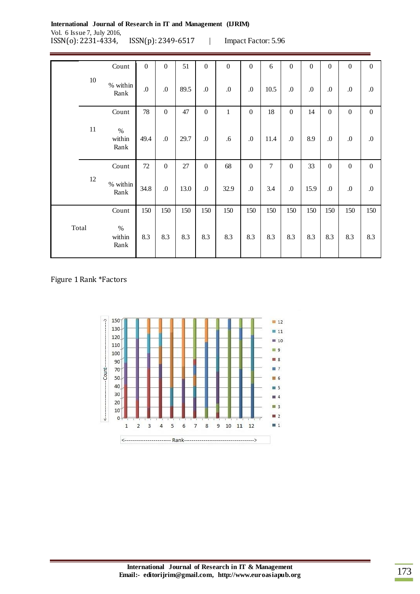**International Journal of Research in IT and Management (IJRIM)** Vol. 6 Issue 7, July 2016, ISSN(o): 2231-4334, ISSN(p): 2349-6517 | Impact Factor: 5.96

|       |        | Count                  | $\boldsymbol{0}$ | $\boldsymbol{0}$ | 51     | $\overline{0}$   | $\boldsymbol{0}$ | $\mathbf{0}$         | 6    | $\boldsymbol{0}$ | $\boldsymbol{0}$ | $\Omega$         | $\mathbf{0}$ | $\overline{0}$   |
|-------|--------|------------------------|------------------|------------------|--------|------------------|------------------|----------------------|------|------------------|------------------|------------------|--------------|------------------|
|       | $10\,$ | % within<br>Rank       | .0               | .0               | 89.5   | $\cdot$          | $\boldsymbol{0}$ | $\cdot$ <sup>0</sup> | 10.5 | 0.               | $\boldsymbol{0}$ | $\Omega$         | .0           | $\boldsymbol{0}$ |
|       |        | Count                  | 78               | $\boldsymbol{0}$ | 47     | $\boldsymbol{0}$ | $\mathbf{1}$     | $\boldsymbol{0}$     | 18   | $\boldsymbol{0}$ | 14               | $\boldsymbol{0}$ | $\mathbf{0}$ | $\mathbf{0}$     |
|       | $11\,$ | $\%$<br>within<br>Rank | 49.4             | $\boldsymbol{0}$ | 29.7   | 0.               | .6               | .0                   | 11.4 | $\boldsymbol{0}$ | 8.9              | 0.               | $\Omega$     | $\boldsymbol{0}$ |
|       |        | Count                  | 72               | $\boldsymbol{0}$ | $27\,$ | $\boldsymbol{0}$ | 68               | $\overline{0}$       | 7    | $\boldsymbol{0}$ | 33               | $\boldsymbol{0}$ | $\mathbf{0}$ | $\mathbf{0}$     |
|       | 12     | % within<br>Rank       | 34.8             | $\cdot$          | 13.0   | 0.               | 32.9             | .0                   | 3.4  | $\boldsymbol{0}$ | 15.9             | .0               | $\Omega$     | $.0\,$           |
|       |        | Count                  | 150              | 150              | 150    | 150              | 150              | 150                  | 150  | 150              | 150              | 150              | 150          | 150              |
| Total |        | $\%$<br>within<br>Rank | 8.3              | 8.3              | 8.3    | 8.3              | 8.3              | 8.3                  | 8.3  | 8.3              | 8.3              | 8.3              | 8.3          | 8.3              |

#### Figure 1 Rank \*Factors

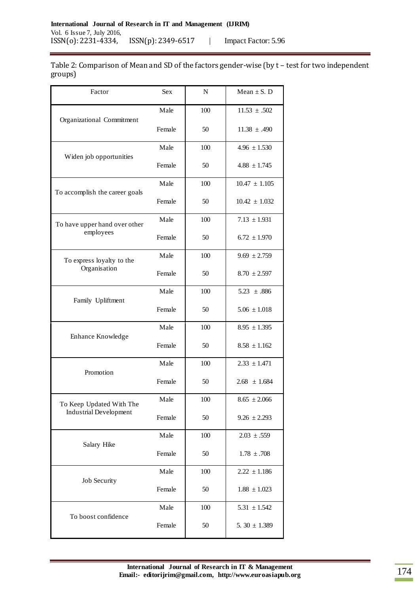Table 2: Comparison of Mean and SD of the factors gender-wise (by t – test for two independent groups)

| Factor                         | <b>Sex</b> | N   | Mean $\pm$ S. D   |
|--------------------------------|------------|-----|-------------------|
|                                | Male       | 100 | $11.53 \pm .502$  |
| Organizational Commitment      | Female     | 50  | $11.38 \pm .490$  |
| Widen job opportunities        | Male       | 100 | $4.96 \pm 1.530$  |
|                                | Female     | 50  | $4.88 \pm 1.745$  |
| To accomplish the career goals | Male       | 100 | $10.47 \pm 1.105$ |
|                                | Female     | 50  | $10.42 \pm 1.032$ |
| To have upper hand over other  | Male       | 100 | $7.13 \pm 1.931$  |
| employees                      | Female     | 50  | $6.72 \pm 1.970$  |
| To express loyalty to the      | Male       | 100 | $9.69 \pm 2.759$  |
| Organisation                   | Female     | 50  | $8.70 \pm 2.597$  |
| Family Upliftment              | Male       | 100 | $5.23 \pm .886$   |
|                                | Female     | 50  | $5.06 \pm 1.018$  |
| Enhance Knowledge              | Male       | 100 | $8.95 \pm 1.395$  |
|                                | Female     | 50  | $8.58 \pm 1.162$  |
| Promotion                      | Male       | 100 | $2.33 \pm 1.471$  |
|                                | Female     | 50  | $2.68 \pm 1.684$  |
| To Keep Updated With The       | Male       | 100 | $8.65 \pm 2.066$  |
| <b>Industrial Development</b>  | Female     | 50  | $9.26 \pm 2.293$  |
| Salary Hike                    | Male       | 100 | $2.03 \pm .559$   |
|                                | Female     | 50  | $1.78 \pm .708$   |
| Job Security                   | Male       | 100 | $2.22 \pm 1.186$  |
|                                | Female     | 50  | $1.88 \pm 1.023$  |
| To boost confidence            | Male       | 100 | $5.31 \pm 1.542$  |
|                                | Female     | 50  | 5. 30 $\pm$ 1.389 |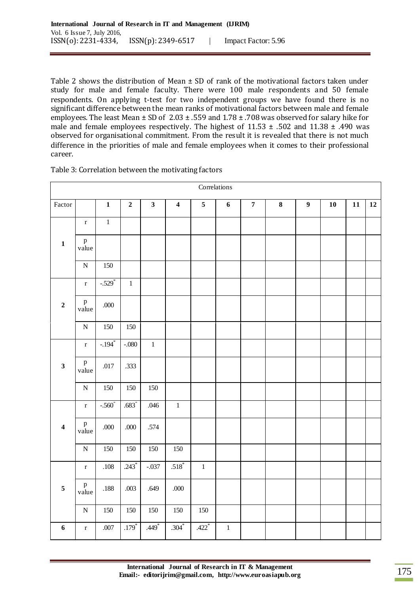Table 2 shows the distribution of Mean  $\pm$  SD of rank of the motivational factors taken under study for male and female faculty. There were 100 male respondents and 50 female respondents. On applying t-test for two independent groups we have found there is no significant difference between the mean ranks of motivational factors between male and female employees. The least Mean  $\pm$  SD of 2.03  $\pm$  .559 and 1.78  $\pm$  .708 was observed for salary hike for male and female employees respectively. The highest of  $11.53 \pm .502$  and  $11.38 \pm .490$  was observed for organisational commitment. From the result it is revealed that there is not much difference in the priorities of male and female employees when it comes to their professional career.

|                         | Correlations          |                      |                  |                         |                         |                         |                  |                  |          |                  |    |    |    |
|-------------------------|-----------------------|----------------------|------------------|-------------------------|-------------------------|-------------------------|------------------|------------------|----------|------------------|----|----|----|
| Factor                  |                       | $\mathbf{1}$         | $\boldsymbol{2}$ | $\overline{\mathbf{3}}$ | $\overline{\mathbf{4}}$ | $\overline{\mathbf{5}}$ | $\boldsymbol{6}$ | $\boldsymbol{7}$ | $\bf{8}$ | $\boldsymbol{9}$ | 10 | 11 | 12 |
|                         | $\mathbf r$           | $\,1\,$              |                  |                         |                         |                         |                  |                  |          |                  |    |    |    |
| $\mathbf{1}$            | p<br>value            |                      |                  |                         |                         |                         |                  |                  |          |                  |    |    |    |
|                         | ${\bf N}$             | 150                  |                  |                         |                         |                         |                  |                  |          |                  |    |    |    |
|                         | $\mathbf r$           | $-.529$ <sup>*</sup> | $\,1$            |                         |                         |                         |                  |                  |          |                  |    |    |    |
| $\mathbf 2$             | p<br>value            | .000                 |                  |                         |                         |                         |                  |                  |          |                  |    |    |    |
|                         | ${\bf N}$             | 150                  | 150              |                         |                         |                         |                  |                  |          |                  |    |    |    |
|                         | $\mathbf r$           | $-194$               | $-.080$          | $\,1$                   |                         |                         |                  |                  |          |                  |    |    |    |
| $\overline{\mathbf{3}}$ | $\, {\bf p}$<br>value | $.017$               | .333             |                         |                         |                         |                  |                  |          |                  |    |    |    |
|                         | ${\bf N}$             | 150                  | 150              | 150                     |                         |                         |                  |                  |          |                  |    |    |    |
|                         | $\mathbf r$           | $-.560$ <sup>*</sup> | $.683*$          | .046                    | $\mathbf{1}$            |                         |                  |                  |          |                  |    |    |    |
| $\overline{\mathbf{4}}$ | p<br>value            | .000                 | .000             | .574                    |                         |                         |                  |                  |          |                  |    |    |    |
|                         | ${\bf N}$             | 150                  | 150              | 150                     | 150                     |                         |                  |                  |          |                  |    |    |    |
|                         | $\mathbf r$           | $.108\,$             | $.243*$          | $-.037$                 | $.518*$                 | $\,1$                   |                  |                  |          |                  |    |    |    |
| $\sqrt{5}$              | $\, {\bf p}$<br>value | .188                 | .003             | .649                    | .000                    |                         |                  |                  |          |                  |    |    |    |
|                         | ${\bf N}$             | 150                  | $150\,$          | 150                     | 150                     | 150                     |                  |                  |          |                  |    |    |    |
| $\boldsymbol{6}$        | $\mathbf r$           | .007                 | $.179*$          | $.449*$                 | $.304*$                 | $.422$ <sup>*</sup>     | $\,1\,$          |                  |          |                  |    |    |    |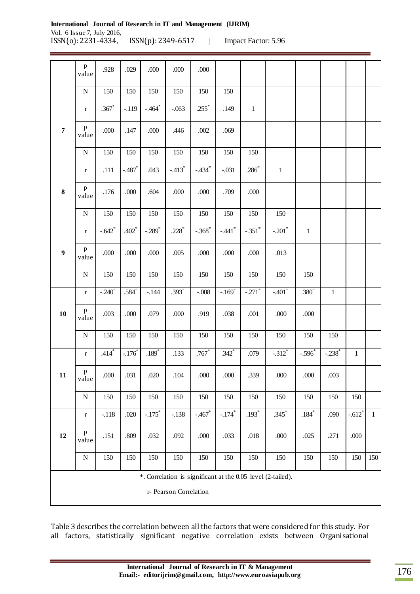|                  | $\, {\bf p}$<br>value                                                                 | .928              | .029                | .000                 | .000                 | .000                 |                      |                      |                      |              |              |              |              |
|------------------|---------------------------------------------------------------------------------------|-------------------|---------------------|----------------------|----------------------|----------------------|----------------------|----------------------|----------------------|--------------|--------------|--------------|--------------|
|                  | ${\bf N}$                                                                             | 150               | 150                 | 150                  | 150                  | 150                  | 150                  |                      |                      |              |              |              |              |
|                  | $\bf r$                                                                               | .367              | $-.119$             | $-.464$              | $-.063$              | $.255$ <sup>*</sup>  | .149                 | $\mathbf{1}$         |                      |              |              |              |              |
| $\overline{7}$   | $\, {\bf p}$<br>value                                                                 | .000              | .147                | .000.                | .446                 | .002                 | .069                 |                      |                      |              |              |              |              |
|                  | ${\bf N}$                                                                             | 150               | 150                 | 150                  | 150                  | 150                  | 150                  | 150                  |                      |              |              |              |              |
|                  | $\bf r$                                                                               | .111              | $-.487$             | .043                 | $-.413$ <sup>*</sup> | $-.434$ <sup>*</sup> | $-.031$              | $.286*$              | $\mathbf{1}$         |              |              |              |              |
| 8                | p<br>value                                                                            | .176              | .000                | .604                 | .000                 | .000                 | .709                 | .000                 |                      |              |              |              |              |
|                  | ${\bf N}$                                                                             | 150               | 150                 | 150                  | 150                  | 150                  | 150                  | 150                  | 150                  |              |              |              |              |
|                  | $\bf r$                                                                               | $-.642$ *         | $.402*$             | $-.289$ <sup>*</sup> | $.228*$              | $-.368$ <sup>*</sup> | $-.441$ <sup>*</sup> | $-.351$ <sup>*</sup> | $-.201$ *            | $\mathbf{1}$ |              |              |              |
| $\boldsymbol{9}$ | $\, {\bf p}$<br>value                                                                 | $.000$            | .000                | .000.                | .005                 | .000                 | $.000$               | .000                 | .013                 |              |              |              |              |
|                  | ${\bf N}$                                                                             | 150               | 150                 | 150                  | 150                  | 150                  | 150                  | 150                  | 150                  | 150          |              |              |              |
|                  | $\mathbf r$                                                                           | $-.240^{\degree}$ | $.584$ <sup>*</sup> | $-.144$              | $.393*$              | $-.008$              | $-.169$ <sup>*</sup> | $-.271$ <sup>*</sup> | $-.401$              | $.380*$      | $\mathbf{1}$ |              |              |
| 10               | p<br>value                                                                            | .003              | .000                | .079                 | .000                 | .919                 | .038                 | .001                 | $.000$               | $.000$       |              |              |              |
|                  | ${\bf N}$                                                                             | 150               | 150                 | 150                  | 150                  | 150                  | 150                  | 150                  | 150                  | 150          | 150          |              |              |
|                  | $\mathbf r$                                                                           | $.414*$           | $-.176*$            | $.189*$              | .133                 | $.767*$              | $.342$ <sup>*</sup>  | .079                 | $-.312$ <sup>*</sup> | $-.596$      | $-.238^*$    | $\mathbf{1}$ |              |
| 11               | p<br>value                                                                            | .000              | .031                | .020                 | .104                 | .000                 | .000                 | .339                 | .000                 | .000         | .003         |              |              |
|                  | ${\bf N}$                                                                             | 150               | 150                 | 150                  | 150                  | 150                  | 150                  | 150                  | 150                  | 150          | 150          | 150          |              |
|                  | $\mathbf r$                                                                           | $-.118$           | .020                | $-.175$ *            | $-.138$              | $-.467*$             | $-.174$ <sup>*</sup> | $.193*$              | $.345*$              | $.184*$      | .090         | $-.612^*$    | $\mathbf{1}$ |
| 12               | $\, {\bf p}$<br>value                                                                 | .151              | .809                | .032                 | .092                 | .000                 | .033                 | .018                 | .000                 | .025         | .271         | .000         |              |
|                  | ${\bf N}$                                                                             | 150               | 150                 | 150                  | 150                  | 150                  | 150                  | 150                  | 150                  | 150          | 150          | 150          | 150          |
|                  | *. Correlation is significant at the 0.05 level (2-tailed).<br>r- Pearson Correlation |                   |                     |                      |                      |                      |                      |                      |                      |              |              |              |              |

Table 3 describes the correlation between all the factors that were considered for this study. For all factors, statistically significant negative correlation exists between Organisational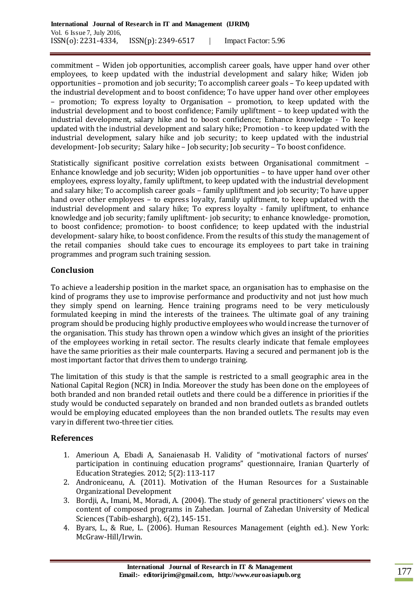commitment – Widen job opportunities, accomplish career goals, have upper hand over other employees, to keep updated with the industrial development and salary hike; Widen job opportunities – promotion and job security; To accomplish career goals – To keep updated with the industrial development and to boost confidence; To have upper hand over other employees – promotion; To express loyalty to Organisation – promotion, to keep updated with the industrial development and to boost confidence; Family upliftment – to keep updated with the industrial development, salary hike and to boost confidence; Enhance knowledge - To keep updated with the industrial development and salary hike; Promotion - to keep updated with the industrial development, salary hike and job security; to keep updated with the industrial development- Job security; Salary hike – Job security; Job security – To boost confidence.

Statistically significant positive correlation exists between Organisational commitment – Enhance knowledge and job security; Widen job opportunities – to have upper hand over other employees, express loyalty, family upliftment, to keep updated with the industrial development and salary hike; To accomplish career goals – family upliftment and job security; To have upper hand over other employees – to express loyalty, family upliftment, to keep updated with the industrial development and salary hike; To express loyalty - family upliftment, to enhance knowledge and job security; family upliftment- job security; to enhance knowledge- promotion, to boost confidence; promotion- to boost confidence; to keep updated with the industrial development- salary hike, to boost confidence. From the results of this study the management of the retail companies should take cues to encourage its employees to part take in training programmes and program such training session.

# **Conclusion**

To achieve a leadership position in the market space, an organisation has to emphasise on the kind of programs they use to improvise performance and productivity and not just how much they simply spend on learning. Hence training programs need to be very meticulously formulated keeping in mind the interests of the trainees. The ultimate goal of any training program should be producing highly productive employees who would increase the turnover of the organisation. This study has thrown open a window which gives an insight of the priorities of the employees working in retail sector. The results clearly indicate that female employees have the same priorities as their male counterparts. Having a secured and permanent job is the most important factor that drives them to undergo training.

The limitation of this study is that the sample is restricted to a small geographic area in the National Capital Region (NCR) in India. Moreover the study has been done on the employees of both branded and non branded retail outlets and there could be a difference in priorities if the study would be conducted separately on branded and non branded outlets as branded outlets would be employing educated employees than the non branded outlets. The results may even vary in different two-three tier cities.

## **References**

- 1. Amerioun A, Ebadi A, Sanaienasab H. Validity of "motivational factors of nurses' participation in continuing education programs" questionnaire, Iranian Quarterly of Education Strategies. 2012; 5(2): 113-117
- 2. Androniceanu, A. (2011). Motivation of the Human Resources for a Sustainable Organizational Development
- 3. Bordji, A., Imani, M., Moradi, A. (2004). The study of general practitioners' views on the content of composed programs in Zahedan. Journal of Zahedan University of Medical Sciences (Tabib-eshargh), 6(2), 145-151.
- 4. Byars, L., & Rue, L. (2006). Human Resources Management (eighth ed.). New York: McGraw-Hill/Irwin.